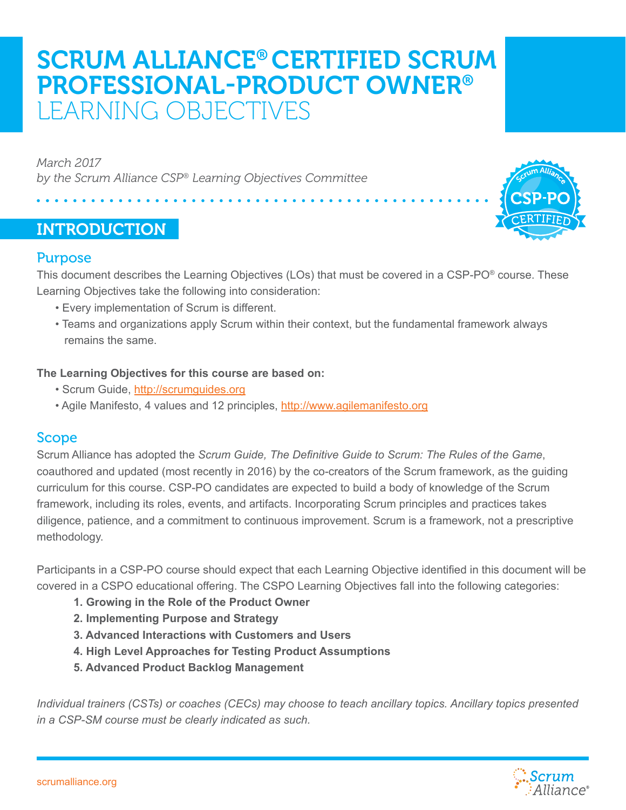# SCRUM ALLIANCE® CERTIFIED SCRUM PROFESSIONAL-PRODUCT OWNER® LEARNING OBJECTIVES

*March 2017 by the Scrum Alliance CSP® Learning Objectives Committee*

# INTRODUCTION



This document describes the Learning Objectives (LOs) that must be covered in a CSP-PO® course. These Learning Objectives take the following into consideration:

- Every implementation of Scrum is different.
- Teams and organizations apply Scrum within their context, but the fundamental framework always remains the same.

### **The Learning Objectives for this course are based on:**

- Scrum Guide,<http://scrumguides.org>
- Agile Manifesto, 4 values and 12 principles, <http://www.agilemanifesto.org>

## Scope

Scrum Alliance has adopted the *Scrum Guide, The Definitive Guide to Scrum: The Rules of the Game*, coauthored and updated (most recently in 2016) by the co-creators of the Scrum framework, as the guiding curriculum for this course. CSP-PO candidates are expected to build a body of knowledge of the Scrum framework, including its roles, events, and artifacts. Incorporating Scrum principles and practices takes diligence, patience, and a commitment to continuous improvement. Scrum is a framework, not a prescriptive methodology.

Participants in a CSP-PO course should expect that each Learning Objective identified in this document will be covered in a CSPO educational offering. The CSPO Learning Objectives fall into the following categories:

- **1. Growing in the Role of the Product Owner**
- **2. Implementing Purpose and Strategy**
- **3. Advanced Interactions with Customers and Users**
- **4. High Level Approaches for Testing Product Assumptions**
- **5. Advanced Product Backlog Management**

*Individual trainers (CSTs) or coaches (CECs) may choose to teach ancillary topics. Ancillary topics presented in a CSP-SM course must be clearly indicated as such.*

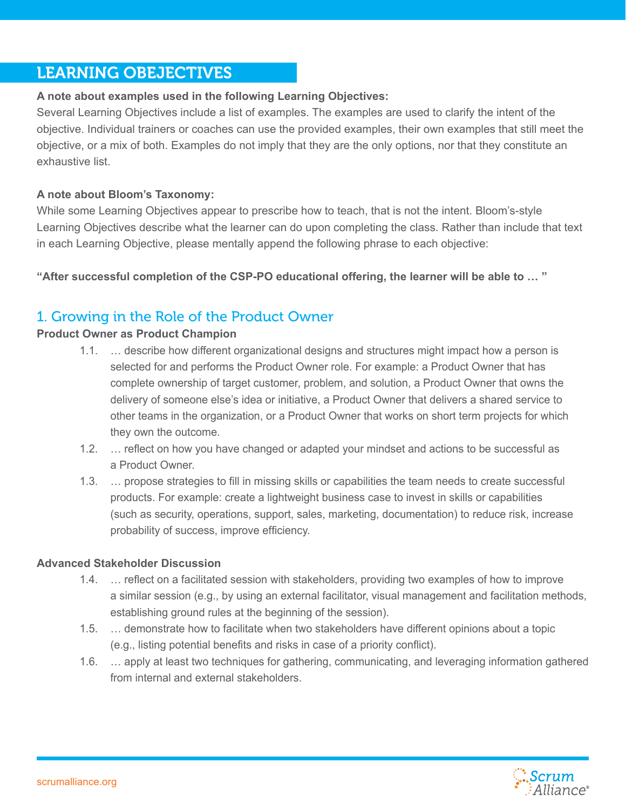# LEARNING OBEJECTIVES

## **A note about examples used in the following Learning Objectives:**

Several Learning Objectives include a list of examples. The examples are used to clarify the intent of the objective. Individual trainers or coaches can use the provided examples, their own examples that still meet the objective, or a mix of both. Examples do not imply that they are the only options, nor that they constitute an exhaustive list.

## **A note about Bloom's Taxonomy:**

While some Learning Objectives appear to prescribe how to teach, that is not the intent. Bloom's-style Learning Objectives describe what the learner can do upon completing the class. Rather than include that text in each Learning Objective, please mentally append the following phrase to each objective:

**"After successful completion of the CSP-PO educational offering, the learner will be able to … "**

# 1. Growing in the Role of the Product Owner

## **Product Owner as Product Champion**

- 1.1. … describe how different organizational designs and structures might impact how a person is selected for and performs the Product Owner role. For example: a Product Owner that has complete ownership of target customer, problem, and solution, a Product Owner that owns the delivery of someone else's idea or initiative, a Product Owner that delivers a shared service to other teams in the organization, or a Product Owner that works on short term projects for which they own the outcome.
- 1.2. ... reflect on how you have changed or adapted your mindset and actions to be successful as a Product Owner.
- 1.3. … propose strategies to fill in missing skills or capabilities the team needs to create successful products. For example: create a lightweight business case to invest in skills or capabilities (such as security, operations, support, sales, marketing, documentation) to reduce risk, increase probability of success, improve efficiency.

### **Advanced Stakeholder Discussion**

- 1.4. … reflect on a facilitated session with stakeholders, providing two examples of how to improve a similar session (e.g., by using an external facilitator, visual management and facilitation methods, establishing ground rules at the beginning of the session).
- 1.5. … demonstrate how to facilitate when two stakeholders have different opinions about a topic (e.g., listing potential benefits and risks in case of a priority conflict).
- 1.6. … apply at least two techniques for gathering, communicating, and leveraging information gathered from internal and external stakeholders.

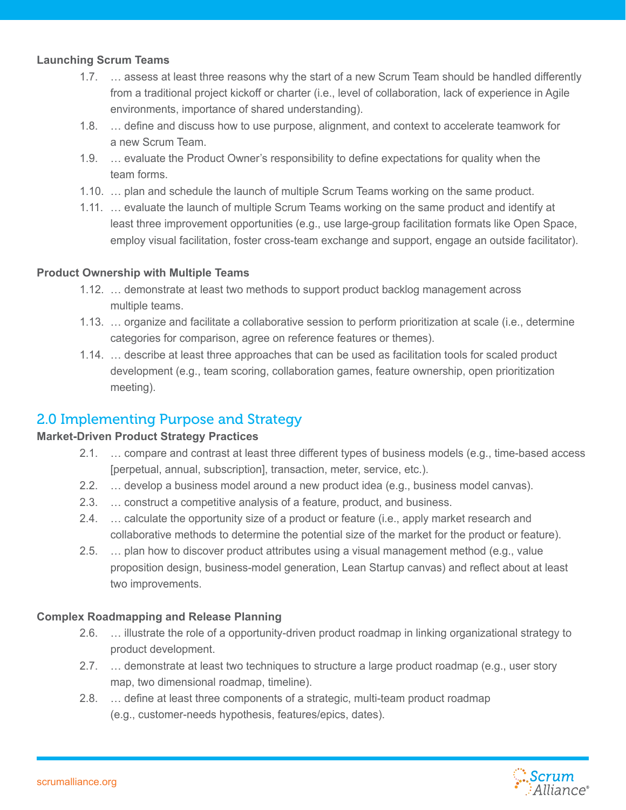### **Launching Scrum Teams**

- 1.7. … assess at least three reasons why the start of a new Scrum Team should be handled differently from a traditional project kickoff or charter (i.e., level of collaboration, lack of experience in Agile environments, importance of shared understanding).
- 1.8. … define and discuss how to use purpose, alignment, and context to accelerate teamwork for a new Scrum Team.
- 1.9. … evaluate the Product Owner's responsibility to define expectations for quality when the team forms.
- 1.10. … plan and schedule the launch of multiple Scrum Teams working on the same product.
- 1.11. … evaluate the launch of multiple Scrum Teams working on the same product and identify at least three improvement opportunities (e.g., use large-group facilitation formats like Open Space, employ visual facilitation, foster cross-team exchange and support, engage an outside facilitator).

## **Product Ownership with Multiple Teams**

- 1.12. … demonstrate at least two methods to support product backlog management across multiple teams.
- 1.13. … organize and facilitate a collaborative session to perform prioritization at scale (i.e., determine categories for comparison, agree on reference features or themes).
- 1.14. … describe at least three approaches that can be used as facilitation tools for scaled product development (e.g., team scoring, collaboration games, feature ownership, open prioritization meeting).

## 2.0 Implementing Purpose and Strategy

## **Market-Driven Product Strategy Practices**

- 2.1. … compare and contrast at least three different types of business models (e.g., time-based access [perpetual, annual, subscription], transaction, meter, service, etc.).
- 2.2. … develop a business model around a new product idea (e.g., business model canvas).
- 2.3. … construct a competitive analysis of a feature, product, and business.
- 2.4. … calculate the opportunity size of a product or feature (i.e., apply market research and collaborative methods to determine the potential size of the market for the product or feature).
- 2.5. … plan how to discover product attributes using a visual management method (e.g., value proposition design, business-model generation, Lean Startup canvas) and reflect about at least two improvements.

## **Complex Roadmapping and Release Planning**

- 2.6. … illustrate the role of a opportunity-driven product roadmap in linking organizational strategy to product development.
- 2.7. … demonstrate at least two techniques to structure a large product roadmap (e.g., user story map, two dimensional roadmap, timeline).
- 2.8. … define at least three components of a strategic, multi-team product roadmap (e.g., customer-needs hypothesis, features/epics, dates).

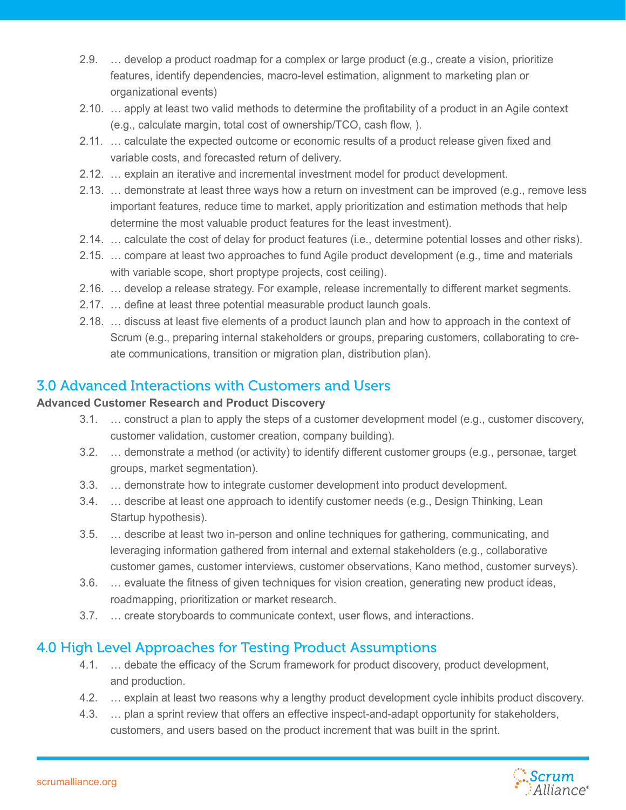- 2.9. … develop a product roadmap for a complex or large product (e.g., create a vision, prioritize features, identify dependencies, macro-level estimation, alignment to marketing plan or organizational events)
- 2.10. … apply at least two valid methods to determine the profitability of a product in an Agile context (e.g., calculate margin, total cost of ownership/TCO, cash flow, ).
- 2.11. … calculate the expected outcome or economic results of a product release given fixed and variable costs, and forecasted return of delivery.
- 2.12. … explain an iterative and incremental investment model for product development.
- 2.13. … demonstrate at least three ways how a return on investment can be improved (e.g., remove less important features, reduce time to market, apply prioritization and estimation methods that help determine the most valuable product features for the least investment).
- 2.14. … calculate the cost of delay for product features (i.e., determine potential losses and other risks).
- 2.15. … compare at least two approaches to fund Agile product development (e.g., time and materials with variable scope, short proptype projects, cost ceiling).
- 2.16. … develop a release strategy. For example, release incrementally to different market segments.
- 2.17. … define at least three potential measurable product launch goals.
- 2.18. … discuss at least five elements of a product launch plan and how to approach in the context of Scrum (e.g., preparing internal stakeholders or groups, preparing customers, collaborating to create communications, transition or migration plan, distribution plan).

# 3.0 Advanced Interactions with Customers and Users

## **Advanced Customer Research and Product Discovery**

- 3.1. … construct a plan to apply the steps of a customer development model (e.g., customer discovery, customer validation, customer creation, company building).
- 3.2. … demonstrate a method (or activity) to identify different customer groups (e.g., personae, target groups, market segmentation).
- 3.3. … demonstrate how to integrate customer development into product development.
- 3.4. … describe at least one approach to identify customer needs (e.g., Design Thinking, Lean Startup hypothesis).
- 3.5. … describe at least two in-person and online techniques for gathering, communicating, and leveraging information gathered from internal and external stakeholders (e.g., collaborative customer games, customer interviews, customer observations, Kano method, customer surveys).
- 3.6. … evaluate the fitness of given techniques for vision creation, generating new product ideas, roadmapping, prioritization or market research.
- 3.7. … create storyboards to communicate context, user flows, and interactions.

# 4.0 High Level Approaches for Testing Product Assumptions

- 4.1. … debate the efficacy of the Scrum framework for product discovery, product development, and production.
- 4.2. … explain at least two reasons why a lengthy product development cycle inhibits product discovery.
- 4.3. … plan a sprint review that offers an effective inspect-and-adapt opportunity for stakeholders, customers, and users based on the product increment that was built in the sprint.